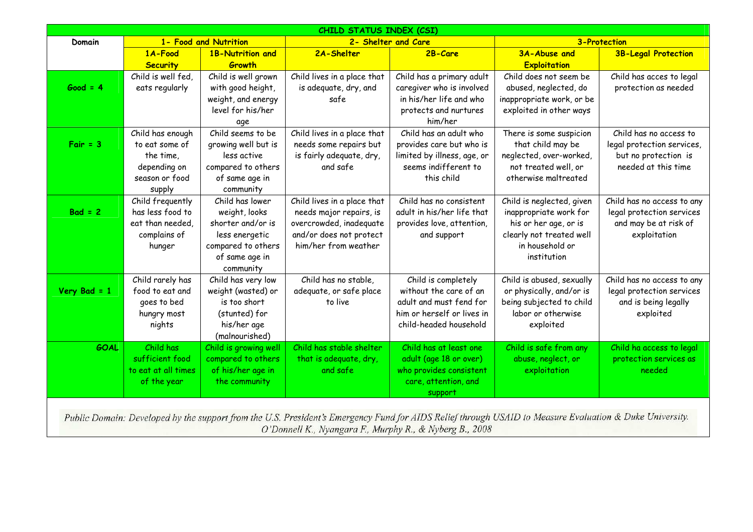| CHILD STATUS INDEX (CSI)                                                                                                                                |                                      |                                    |                                                    |                                                       |                                                 |                                                    |  |  |  |  |
|---------------------------------------------------------------------------------------------------------------------------------------------------------|--------------------------------------|------------------------------------|----------------------------------------------------|-------------------------------------------------------|-------------------------------------------------|----------------------------------------------------|--|--|--|--|
| Domain                                                                                                                                                  | 1- Food and Nutrition                |                                    | 2- Shelter and Care                                |                                                       | <b>3-Protection</b>                             |                                                    |  |  |  |  |
|                                                                                                                                                         | 1A-Food                              | 1B-Nutrition and                   | 2A-Shelter                                         | 2B-Care                                               | 3A-Abuse and                                    | <b>3B-Legal Protection</b>                         |  |  |  |  |
|                                                                                                                                                         | <b>Security</b>                      | <b>Growth</b>                      |                                                    |                                                       | <b>Exploitation</b>                             |                                                    |  |  |  |  |
|                                                                                                                                                         | Child is well fed,                   | Child is well grown                | Child lives in a place that                        | Child has a primary adult                             | Child does not seem be                          | Child has acces to legal                           |  |  |  |  |
| $Good = 4$                                                                                                                                              | eats regularly                       | with good height,                  | is adequate, dry, and                              | caregiver who is involved                             | abused, neglected, do                           | protection as needed                               |  |  |  |  |
|                                                                                                                                                         |                                      | weight, and energy                 | safe                                               | in his/her life and who                               | inappropriate work, or be                       |                                                    |  |  |  |  |
|                                                                                                                                                         |                                      | level for his/her                  |                                                    | protects and nurtures                                 | exploited in other ways                         |                                                    |  |  |  |  |
|                                                                                                                                                         |                                      | age                                |                                                    | him/her                                               |                                                 |                                                    |  |  |  |  |
|                                                                                                                                                         | Child has enough                     | Child seems to be                  | Child lives in a place that                        | Child has an adult who                                | There is some suspicion                         | Child has no access to                             |  |  |  |  |
| $Fair = 3$                                                                                                                                              | to eat some of                       | growing well but is                | needs some repairs but                             | provides care but who is                              | that child may be                               | legal protection services,                         |  |  |  |  |
|                                                                                                                                                         | the time,                            | less active                        | is fairly adequate, dry,                           | limited by illness, age, or                           | neglected, over-worked,                         | but no protection is                               |  |  |  |  |
|                                                                                                                                                         | depending on                         | compared to others                 | and safe                                           | seems indifferent to                                  | not treated well, or                            | needed at this time                                |  |  |  |  |
|                                                                                                                                                         | season or food                       | of same age in                     |                                                    | this child                                            | otherwise maltreated                            |                                                    |  |  |  |  |
|                                                                                                                                                         | supply                               | community                          |                                                    |                                                       |                                                 |                                                    |  |  |  |  |
| $Bad = 2$                                                                                                                                               | Child frequently<br>has less food to | Child has lower                    | Child lives in a place that                        | Child has no consistent<br>adult in his/her life that | Child is neglected, given                       | Child has no access to any                         |  |  |  |  |
|                                                                                                                                                         | eat than needed,                     | weight, looks<br>shorter and/or is | needs major repairs, is<br>overcrowded, inadequate | provides love, attention,                             | inappropriate work for<br>his or her age, or is | legal protection services<br>and may be at risk of |  |  |  |  |
|                                                                                                                                                         | complains of                         | less energetic                     | and/or does not protect                            | and support                                           | clearly not treated well                        | exploitation                                       |  |  |  |  |
|                                                                                                                                                         | hunger                               | compared to others                 | him/her from weather                               |                                                       | in household or                                 |                                                    |  |  |  |  |
|                                                                                                                                                         |                                      | of same age in                     |                                                    |                                                       | institution                                     |                                                    |  |  |  |  |
|                                                                                                                                                         |                                      | community                          |                                                    |                                                       |                                                 |                                                    |  |  |  |  |
|                                                                                                                                                         | Child rarely has                     | Child has very low                 | Child has no stable,                               | Child is completely                                   | Child is abused, sexually                       | Child has no access to any                         |  |  |  |  |
| Very Bad = $1$                                                                                                                                          | food to eat and                      | weight (wasted) or                 | adequate, or safe place                            | without the care of an                                | or physically, and/or is                        | legal protection services                          |  |  |  |  |
|                                                                                                                                                         | goes to bed                          | is too short                       | to live                                            | adult and must fend for                               | being subjected to child                        | and is being legally                               |  |  |  |  |
|                                                                                                                                                         | hungry most                          | (stunted) for                      |                                                    | him or herself or lives in                            | labor or otherwise                              | exploited                                          |  |  |  |  |
|                                                                                                                                                         | nights                               | his/her age                        |                                                    | child-headed household                                | exploited                                       |                                                    |  |  |  |  |
|                                                                                                                                                         |                                      | (malnourished)                     |                                                    |                                                       |                                                 |                                                    |  |  |  |  |
| <b>GOAL</b>                                                                                                                                             | Child has                            | Child is growing well              | Child has stable shelter                           | Child has at least one                                | Child is safe from any                          | Child ha access to legal                           |  |  |  |  |
|                                                                                                                                                         | sufficient food                      | compared to others                 | that is adequate, dry,                             | adult (age 18 or over)                                | abuse, neglect, or                              | protection services as                             |  |  |  |  |
|                                                                                                                                                         | to eat at all times                  | of his/her age in                  | and safe                                           | who provides consistent                               | exploitation                                    | needed                                             |  |  |  |  |
|                                                                                                                                                         | of the year                          | the community                      |                                                    | care, attention, and                                  |                                                 |                                                    |  |  |  |  |
|                                                                                                                                                         |                                      |                                    |                                                    | support                                               |                                                 |                                                    |  |  |  |  |
|                                                                                                                                                         |                                      |                                    |                                                    |                                                       |                                                 |                                                    |  |  |  |  |
| Public Domain: Developed by the support from the U.S. President's Emergency Fund for AIDS Relief through USAID to Measure Evaluation & Duke University. |                                      |                                    |                                                    |                                                       |                                                 |                                                    |  |  |  |  |
| O'Donnell K., Nyangara F., Murphy R., & Nyberg B., 2008                                                                                                 |                                      |                                    |                                                    |                                                       |                                                 |                                                    |  |  |  |  |